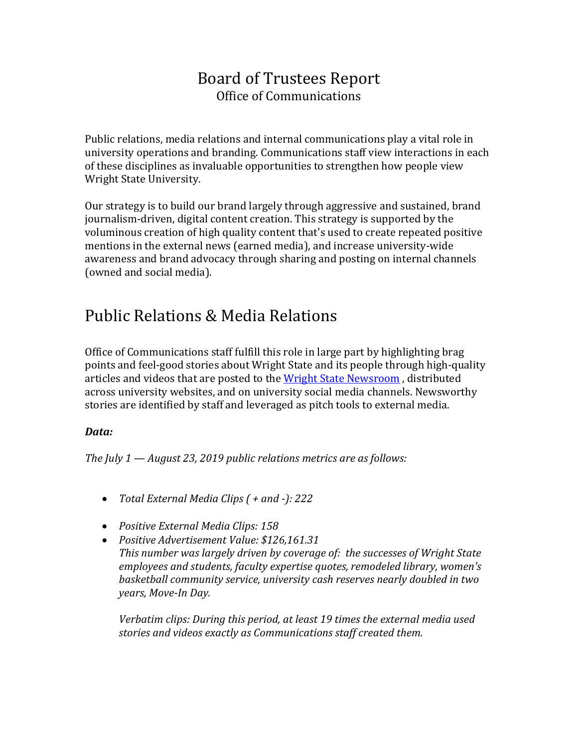### Board of Trustees Report Office of Communications

Public relations, media relations and internal communications play a vital role in university operations and branding. Communications staff view interactions in each of these disciplines as invaluable opportunities to strengthen how people view Wright State University.

Our strategy is to build our brand largely through aggressive and sustained, brand journalism-driven, digital content creation. This strategy is supported by the voluminous creation of high quality content that's used to create repeated positive mentions in the external news (earned media), and increase university-wide awareness and brand advocacy through sharing and posting on internal channels (owned and social media).

## Public Relations & Media Relations

Office of Communications staff fulfill this role in large part by highlighting brag points and feel-good stories about Wright State and its people through high-quality articles and videos that are posted to the [Wright State Newsroom](http://www.wright.edu/news), distributed across university websites, and on university social media channels. Newsworthy stories are identified by staff and leveraged as pitch tools to external media.

#### *Data:*

*The July 1 — August 23, 2019 public relations metrics are as follows:*

- *Total External Media Clips ( + and -): 222*
- *Positive External Media Clips: 158*
- *Positive Advertisement Value: \$126,161.31 This number was largely driven by coverage of: the successes of Wright State employees and students, faculty expertise quotes, remodeled library, women's basketball community service, university cash reserves nearly doubled in two years, Move-In Day.*

*Verbatim clips: During this period, at least 19 times the external media used stories and videos exactly as Communications staff created them.*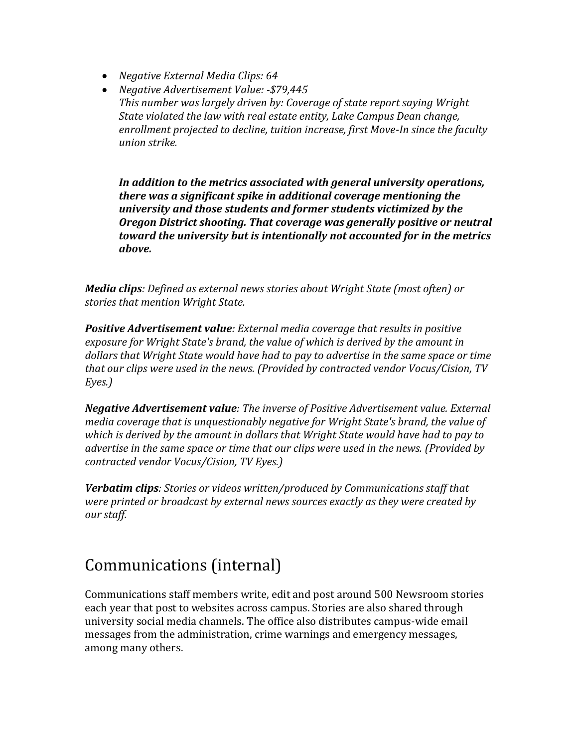- *Negative External Media Clips: 64*
- *Negative Advertisement Value: -\$79,445 This number was largely driven by: Coverage of state report saying Wright State violated the law with real estate entity, Lake Campus Dean change, enrollment projected to decline, tuition increase, first Move-In since the faculty union strike.*

*In addition to the metrics associated with general university operations, there was a significant spike in additional coverage mentioning the university and those students and former students victimized by the Oregon District shooting. That coverage was generally positive or neutral toward the university but is intentionally not accounted for in the metrics above.*

*Media clips: Defined as external news stories about Wright State (most often) or stories that mention Wright State.*

*Positive Advertisement value: External media coverage that results in positive exposure for Wright State's brand, the value of which is derived by the amount in dollars that Wright State would have had to pay to advertise in the same space or time that our clips were used in the news. (Provided by contracted vendor Vocus/Cision, TV Eyes.)*

*Negative Advertisement value: The inverse of Positive Advertisement value. External media coverage that is unquestionably negative for Wright State's brand, the value of which is derived by the amount in dollars that Wright State would have had to pay to advertise in the same space or time that our clips were used in the news. (Provided by contracted vendor Vocus/Cision, TV Eyes.)*

*Verbatim clips: Stories or videos written/produced by Communications staff that were printed or broadcast by external news sources exactly as they were created by our staff.*

# Communications (internal)

Communications staff members write, edit and post around 500 Newsroom stories each year that post to websites across campus. Stories are also shared through university social media channels. The office also distributes campus-wide email messages from the administration, crime warnings and emergency messages, among many others.